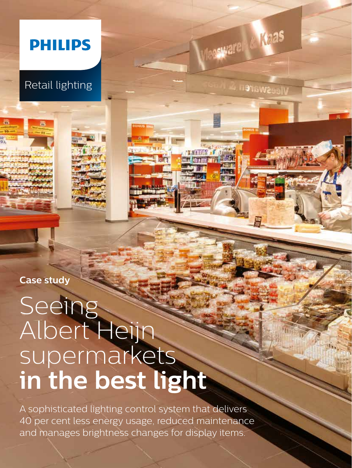

Retail lighting

**Case study**

# Seeing Albert Heijn supermarkets **in the best light**

A sophisticated lighting control system that delivers 40 per cent less energy usage, reduced maintenance and manages brightness changes for display items.

Vleesware Lifeas

Vieeswaren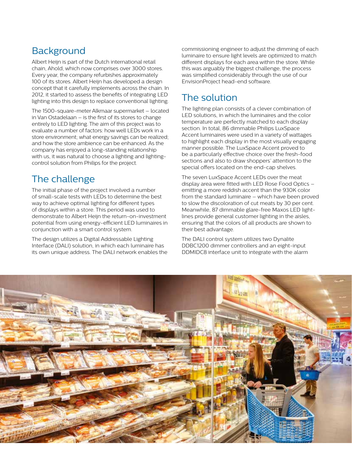# **Background**

Albert Heijn is part of the Dutch international retail chain, Ahold, which now comprises over 3000 stores. Every year, the company refurbishes approximately 100 of its stores. Albert Heijn has developed a design concept that it carefully implements across the chain. In 2012, it started to assess the benefits of integrating LED lighting into this design to replace conventional lighting.

The 1500-square-meter Alkmaar supermarket – located in Van Ostadelaan – is the first of its stores to change entirely to LED lighting. The aim of this project was to evaluate a number of factors: how well LEDs work in a store environment; what energy savings can be realized; and how the store ambience can be enhanced. As the company has enjoyed a long-standing relationship with us, it was natural to choose a lighting and lightingcontrol solution from Philips for the project.

# The challenge

The initial phase of the project involved a number of small-scale tests with LEDs to determine the best way to achieve optimal lighting for different types of displays within a store. This period was used to demonstrate to Albert Heijn the return-on-investment potential from using energy-efficient LED luminaires in conjunction with a smart control system.

The design utilizes a Digital Addressable Lighting Interface (DALI) solution, in which each luminaire has its own unique address. The DALI network enables the

commissioning engineer to adjust the dimming of each luminaire to ensure light levels are optimized to match different displays for each area within the store. While this was arguably the biggest challenge, the process was simplified considerably through the use of our EnvisionProject head-end software.

# The solution

The lighting plan consists of a clever combination of LED solutions, in which the luminaires and the color temperature are perfectly matched to each display section. In total, 86 dimmable Philips LuxSpace Accent luminaires were used in a variety of wattages to highlight each display in the most visually engaging manner possible. The LuxSpace Accent proved to be a particularly effective choice over the fresh-food sections and also to draw shoppers' attention to the special offers located on the end-cap shelves.

The seven LuxSpace Accent LEDs over the meat display area were fitted with LED Rose Food Optics – emitting a more reddish accent than the 930K color from the standard luminaire – which have been proved to slow the discoloration of cut meats by 30 per cent. Meanwhile, 87 dimmable glare-free Maxos LED lightlines provide general customer lighting in the aisles, ensuring that the colors of all products are shown to their best advantage.

The DALI control system utilizes two Dynalite DDBC1200 dimmer controllers and an eight-input DDMIDC8 interface unit to integrate with the alarm

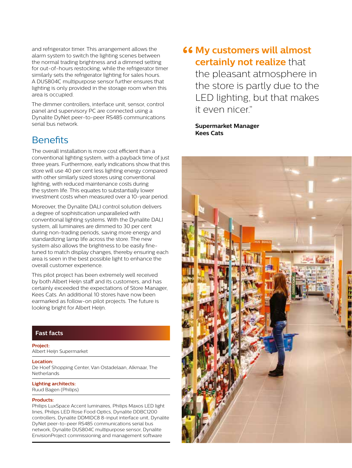and refrigerator timer. This arrangement allows the alarm system to switch the lighting scenes between the normal trading brightness and a dimmed setting for out-of-hours restocking, while the refrigerator timer similarly sets the refrigerator lighting for sales hours. A DUS804C multipurpose sensor further ensures that lighting is only provided in the storage room when this area is occupied.

The dimmer controllers, interface unit, sensor, control panel and supervisory PC are connected using a Dynalite DyNet peer-to-peer RS485 communications serial bus network.

## **Benefits**

The overall installation is more cost efficient than a conventional lighting system, with a payback time of just three years. Furthermore, early indications show that this store will use 40 per cent less lighting energy compared with other similarly sized stores using conventional lighting, with reduced maintenance costs during the system life. This equates to substantially lower investment costs when measured over a 10-year period.

Moreover, the Dynalite DALI control solution delivers a degree of sophistication unparalleled with conventional lighting systems. With the Dynalite DALI system, all luminaires are dimmed to 30 per cent during non-trading periods, saving more energy and standardizing lamp life across the store. The new system also allows the brightness to be easily finetuned to match display changes, thereby ensuring each area is seen in the best possible light to enhance the overall customer experience.

This pilot project has been extremely well received by both Albert Heijn staff and its customers, and has certainly exceeded the expectations of Store Manager, Kees Cats. An additional 10 stores have now been earmarked as follow-on pilot projects. The future is looking bright for Albert Heijn.

## **Fast facts**

#### **Project:**

Albert Heijn Supermarket

**Location:** De Hoef Shopping Center, Van Ostadelaan, Alkmaar, The **Netherlands** 

### **Lighting architects:**

Ruud Bagen (Philips)

#### **Products:**

Philips LuxSpace Accent luminaires, Philips Maxos LED light lines, Philips LED Rose Food Optics, Dynalite DDBC1200 controllers, Dynalite DDMIDC8 8-input interface unit, Dynalite DyNet peer-to-peer RS485 communications serial bus network, Dynalite DUS804C multipurpose sensor, Dynalite EnvisionProject commissioning and management software

## **"Go My customers will almost certainly not realize** that

the pleasant atmosphere in the store is partly due to the LED lighting, but that makes it even nicer."

**Supermarket Manager Kees Cats**